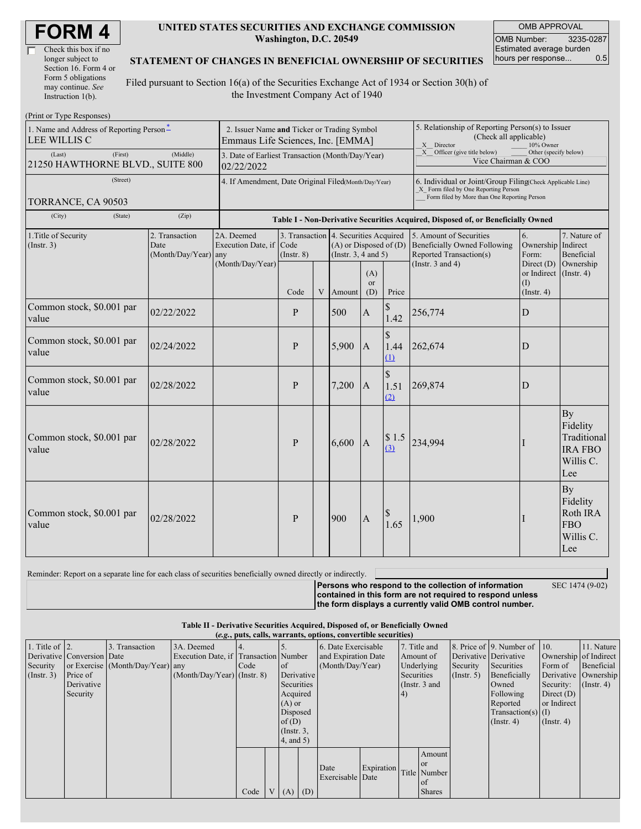| <b>FORM4</b> |
|--------------|
|--------------|

| Check this box if no  |
|-----------------------|
| longer subject to     |
| Section 16. Form 4 or |
| Form 5 obligations    |
| may continue. See     |
| Instruction 1(b).     |

#### **UNITED STATES SECURITIES AND EXCHANGE COMMISSION Washington, D.C. 20549**

OMB APPROVAL OMB Number: 3235-0287 Estimated average burden<br>hours per response... 0.5 hours per response...

#### **STATEMENT OF CHANGES IN BENEFICIAL OWNERSHIP OF SECURITIES**

Filed pursuant to Section 16(a) of the Securities Exchange Act of 1934 or Section 30(h) of the Investment Company Act of 1940

| (Print or Type Responses)                                                             |                                                                                  |                                                             |                                                                                  |   |        |                                                                                                 |                                                                                                       |                                                                                                                                                    |                                                                   |                                                                     |
|---------------------------------------------------------------------------------------|----------------------------------------------------------------------------------|-------------------------------------------------------------|----------------------------------------------------------------------------------|---|--------|-------------------------------------------------------------------------------------------------|-------------------------------------------------------------------------------------------------------|----------------------------------------------------------------------------------------------------------------------------------------------------|-------------------------------------------------------------------|---------------------------------------------------------------------|
| 1. Name and Address of Reporting Person-<br>LEE WILLIS C                              | 2. Issuer Name and Ticker or Trading Symbol<br>Emmaus Life Sciences, Inc. [EMMA] |                                                             |                                                                                  |   |        |                                                                                                 | 5. Relationship of Reporting Person(s) to Issuer<br>(Check all applicable)<br>X Director<br>10% Owner |                                                                                                                                                    |                                                                   |                                                                     |
| (First)<br>(Last)<br>21250 HAWTHORNE BLVD., SUITE 800                                 | 3. Date of Earliest Transaction (Month/Day/Year)<br>02/22/2022                   |                                                             |                                                                                  |   |        | $X$ Officer (give title below)<br>Other (specify below)<br>Vice Chairman & COO                  |                                                                                                       |                                                                                                                                                    |                                                                   |                                                                     |
| (Street)                                                                              |                                                                                  |                                                             | 4. If Amendment, Date Original Filed(Month/Day/Year)                             |   |        |                                                                                                 |                                                                                                       | 6. Individual or Joint/Group Filing(Check Applicable Line)<br>X Form filed by One Reporting Person<br>Form filed by More than One Reporting Person |                                                                   |                                                                     |
| TORRANCE, CA 90503<br>(City)<br>(State)                                               | (Zip)                                                                            |                                                             | Table I - Non-Derivative Securities Acquired, Disposed of, or Beneficially Owned |   |        |                                                                                                 |                                                                                                       |                                                                                                                                                    |                                                                   |                                                                     |
| 1. Title of Security<br>2. Transaction<br>Date<br>(Insert. 3)<br>(Month/Day/Year) any |                                                                                  | 2A. Deemed<br>Execution Date, if<br>Code<br>$($ Instr. $8)$ |                                                                                  |   |        | 3. Transaction 4. Securities Acquired<br>$(A)$ or Disposed of $(D)$<br>(Instr. $3, 4$ and $5$ ) |                                                                                                       | 5. Amount of Securities<br><b>Beneficially Owned Following</b><br>Reported Transaction(s)                                                          | 6.<br>Ownership Indirect<br>Form:                                 | 7. Nature of<br>Beneficial                                          |
|                                                                                       |                                                                                  | (Month/Day/Year)                                            | Code                                                                             | V | Amount | (A)<br><sub>or</sub><br>(D)                                                                     | Price                                                                                                 | (Instr. $3$ and $4$ )                                                                                                                              | Direct $(D)$<br>or Indirect (Instr. 4)<br>(1)<br>$($ Instr. 4 $)$ | Ownership                                                           |
| Common stock, \$0.001 par<br>value                                                    | 02/22/2022                                                                       |                                                             | P                                                                                |   | 500    | $\boldsymbol{A}$                                                                                | \$<br>1.42                                                                                            | 256,774                                                                                                                                            | $\mathbf D$                                                       |                                                                     |
| Common stock, \$0.001 par<br>value                                                    | 02/24/2022                                                                       |                                                             | P                                                                                |   | 5,900  | A                                                                                               | $\mathcal{S}$<br>1.44<br>$\Omega$                                                                     | 262,674                                                                                                                                            | D                                                                 |                                                                     |
| Common stock, \$0.001 par<br>value                                                    | 02/28/2022                                                                       |                                                             | P                                                                                |   | 7,200  | $\overline{A}$                                                                                  | \$<br>1.51<br>(2)                                                                                     | 269,874                                                                                                                                            | D                                                                 |                                                                     |
| Common stock, \$0.001 par<br>value                                                    | 02/28/2022                                                                       |                                                             | P                                                                                |   | 6,600  | $\overline{A}$                                                                                  | \$1.5<br>(3)                                                                                          | 234,994                                                                                                                                            |                                                                   | By<br>Fidelity<br>Traditional<br><b>IRA FBO</b><br>Willis C.<br>Lee |
| Common stock, \$0.001 par<br>value                                                    | 02/28/2022                                                                       |                                                             | P                                                                                |   | 900    | $\mathbf{A}$                                                                                    | 1.65                                                                                                  | 1,900                                                                                                                                              |                                                                   | By<br>Fidelity<br>Roth IRA<br><b>FBO</b><br>Willis C.<br>Lee        |

| Reminder: Report on a separate line for each class of securities beneficially owned directly or indirectly. |                                                             |                 |
|-------------------------------------------------------------------------------------------------------------|-------------------------------------------------------------|-----------------|
|                                                                                                             | <b>Persons who respond to the collection of information</b> | SEC 1474 (9-02) |
|                                                                                                             | contained in this form are not required to respond unless   |                 |
|                                                                                                             | the form displays a currently valid OMB control number.     |                 |

| Table II - Derivative Securities Acquired, Disposed of, or Beneficially Owned |  |
|-------------------------------------------------------------------------------|--|
| <i>(e.g., puts, calls, warrants, options, convertible securities)</i>         |  |

| Security | 1. Title of $\vert$ 2.<br>(Insert. 3) | Derivative Conversion Date<br>Price of<br>Derivative<br>Security | 3. Transaction<br>or Exercise (Month/Day/Year) any | 3A. Deemed<br>Execution Date, if Transaction Number<br>$(Month/Day/Year)$ (Instr. 8) | Code |                | <sub>of</sub><br>Derivative<br>Securities<br>Acquired<br>$(A)$ or<br>Disposed<br>of(D)<br>$($ Instr. $3,$ | 6. Date Exercisable<br>and Expiration Date<br>(Month/Day/Year) |            | Amount of<br>Securities<br>$\vert 4)$ | 7. Title and<br>Underlying<br>(Instr. $3$ and                | Derivative Derivative<br>Security<br>$($ Instr. 5 $)$ | 8. Price of 9. Number of 10.<br>Securities<br>Beneficially<br>Owned<br>Following<br>Reported<br>$Transaction(s)$ (I)<br>$($ Instr. 4 $)$ | Form of<br>Security:<br>Direct $(D)$<br>or Indirect<br>$($ Instr. 4 $)$ | 11. Nature<br>Ownership of Indirect<br>Beneficial<br>Derivative Ownership<br>$($ Instr. 4 $)$ |
|----------|---------------------------------------|------------------------------------------------------------------|----------------------------------------------------|--------------------------------------------------------------------------------------|------|----------------|-----------------------------------------------------------------------------------------------------------|----------------------------------------------------------------|------------|---------------------------------------|--------------------------------------------------------------|-------------------------------------------------------|------------------------------------------------------------------------------------------------------------------------------------------|-------------------------------------------------------------------------|-----------------------------------------------------------------------------------------------|
|          |                                       |                                                                  |                                                    |                                                                                      | Code | V <sub>1</sub> | 4, and 5)<br>$(A)$ $(D)$                                                                                  | Date<br>Exercisable Date                                       | Expiration |                                       | Amount<br><b>or</b><br>Title Number<br>  of<br><b>Shares</b> |                                                       |                                                                                                                                          |                                                                         |                                                                                               |